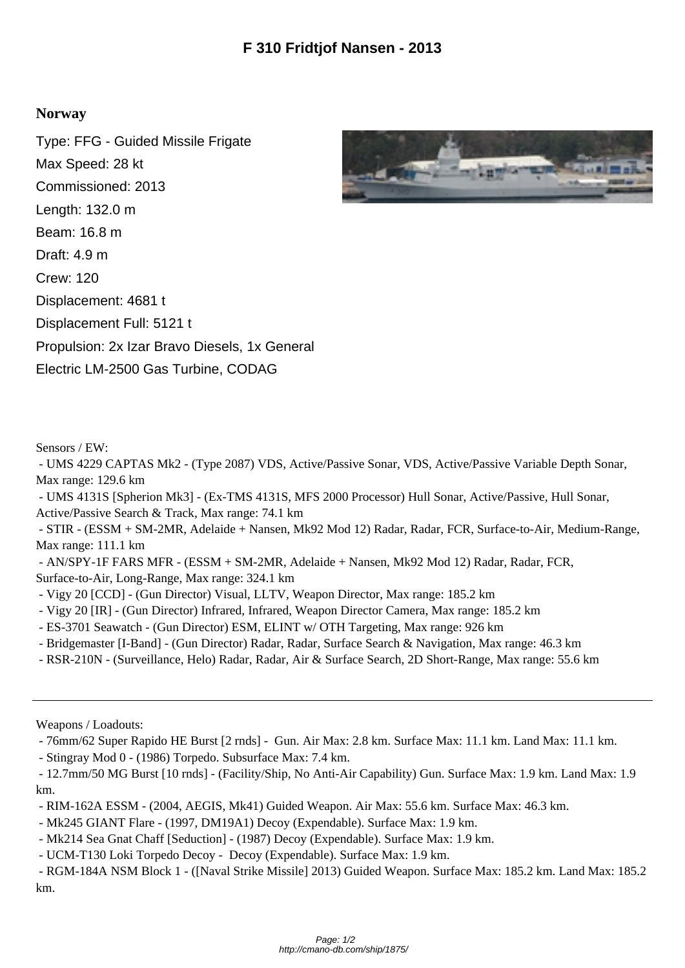## **Norway**

Type: FFG - Guided Missile Frigate Max Speed: 28 kt Commissioned: 2013 Length: 132.0 m Beam: 16.8 m Draft: 4.9 m Crew: 120 Displacement: 4681 t Displacement Full: 5121 t Propulsion: 2x Izar Bravo Diesels, 1x General Electric LM-2500 Gas Turbine, CODAG



Sensors / EW:

 - UMS 4229 CAPTAS Mk2 - (Type 2087) VDS, Active/Passive Sonar, VDS, Active/Passive Variable Depth Sonar, Max range: 129.6 km

 - UMS 4131S [Spherion Mk3] - (Ex-TMS 4131S, MFS 2000 Processor) Hull Sonar, Active/Passive, Hull Sonar, Active/Passive Search & Track, Max range: 74.1 km

 - STIR - (ESSM + SM-2MR, Adelaide + Nansen, Mk92 Mod 12) Radar, Radar, FCR, Surface-to-Air, Medium-Range, Max range: 111.1 km

 - AN/SPY-1F FARS MFR - (ESSM + SM-2MR, Adelaide + Nansen, Mk92 Mod 12) Radar, Radar, FCR, Surface-to-Air, Long-Range, Max range: 324.1 km

- Vigy 20 [CCD] - (Gun Director) Visual, LLTV, Weapon Director, Max range: 185.2 km

- Vigy 20 [IR] (Gun Director) Infrared, Infrared, Weapon Director Camera, Max range: 185.2 km
- ES-3701 Seawatch (Gun Director) ESM, ELINT w/ OTH Targeting, Max range: 926 km
- Bridgemaster [I-Band] (Gun Director) Radar, Radar, Surface Search & Navigation, Max range: 46.3 km
- RSR-210N (Surveillance, Helo) Radar, Radar, Air & Surface Search, 2D Short-Range, Max range: 55.6 km

Weapons / Loadouts:

- 76mm/62 Super Rapido HE Burst [2 rnds] - Gun. Air Max: 2.8 km. Surface Max: 11.1 km. Land Max: 11.1 km.

- Stingray Mod 0 - (1986) Torpedo. Subsurface Max: 7.4 km.

 - 12.7mm/50 MG Burst [10 rnds] - (Facility/Ship, No Anti-Air Capability) Gun. Surface Max: 1.9 km. Land Max: 1.9 km.

- RIM-162A ESSM (2004, AEGIS, Mk41) Guided Weapon. Air Max: 55.6 km. Surface Max: 46.3 km.
- Mk245 GIANT Flare (1997, DM19A1) Decoy (Expendable). Surface Max: 1.9 km.
- Mk214 Sea Gnat Chaff [Seduction] (1987) Decoy (Expendable). Surface Max: 1.9 km.
- UCM-T130 Loki Torpedo Decoy Decoy (Expendable). Surface Max: 1.9 km.

 - RGM-184A NSM Block 1 - ([Naval Strike Missile] 2013) Guided Weapon. Surface Max: 185.2 km. Land Max: 185.2 km.